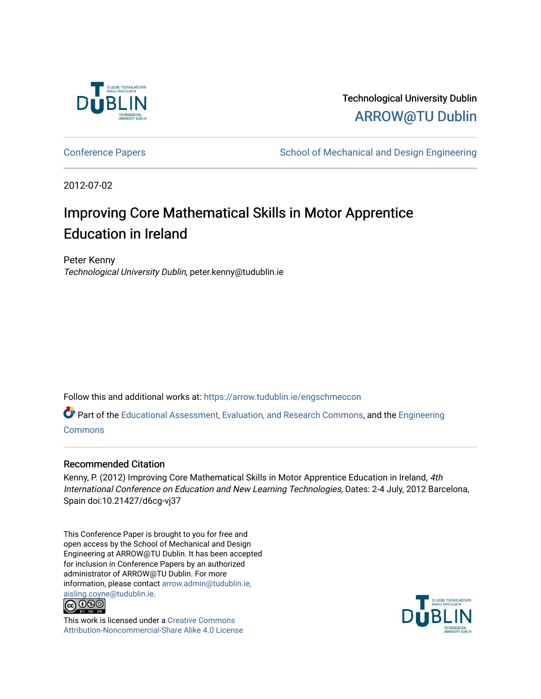

Technological University Dublin [ARROW@TU Dublin](https://arrow.tudublin.ie/) 

[Conference Papers](https://arrow.tudublin.ie/engschmeccon) **School of Mechanical and Design Engineering** School of Mechanical and Design Engineering

2012-07-02

# Improving Core Mathematical Skills in Motor Apprentice Education in Ireland

Peter Kenny Technological University Dublin, peter.kenny@tudublin.ie

Follow this and additional works at: [https://arrow.tudublin.ie/engschmeccon](https://arrow.tudublin.ie/engschmeccon?utm_source=arrow.tudublin.ie%2Fengschmeccon%2F57&utm_medium=PDF&utm_campaign=PDFCoverPages) 

Part of the [Educational Assessment, Evaluation, and Research Commons](http://network.bepress.com/hgg/discipline/796?utm_source=arrow.tudublin.ie%2Fengschmeccon%2F57&utm_medium=PDF&utm_campaign=PDFCoverPages), and the [Engineering](http://network.bepress.com/hgg/discipline/217?utm_source=arrow.tudublin.ie%2Fengschmeccon%2F57&utm_medium=PDF&utm_campaign=PDFCoverPages)  **[Commons](http://network.bepress.com/hgg/discipline/217?utm_source=arrow.tudublin.ie%2Fengschmeccon%2F57&utm_medium=PDF&utm_campaign=PDFCoverPages)** 

#### Recommended Citation

Kenny, P. (2012) Improving Core Mathematical Skills in Motor Apprentice Education in Ireland, 4th International Conference on Education and New Learning Technologies, Dates: 2-4 July, 2012 Barcelona, Spain doi:10.21427/d6cg-vj37

This Conference Paper is brought to you for free and open access by the School of Mechanical and Design Engineering at ARROW@TU Dublin. It has been accepted for inclusion in Conference Papers by an authorized administrator of ARROW@TU Dublin. For more information, please contact [arrow.admin@tudublin.ie,](mailto:arrow.admin@tudublin.ie,%20aisling.coyne@tudublin.ie)  [aisling.coyne@tudublin.ie.](mailto:arrow.admin@tudublin.ie,%20aisling.coyne@tudublin.ie)<br>© 090



This work is licensed under a [Creative Commons](http://creativecommons.org/licenses/by-nc-sa/4.0/) [Attribution-Noncommercial-Share Alike 4.0 License](http://creativecommons.org/licenses/by-nc-sa/4.0/)

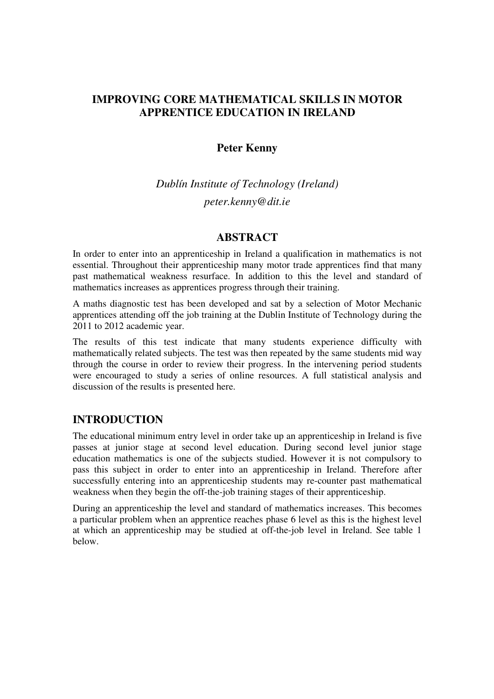# **IMPROVING CORE MATHEMATICAL SKILLS IN MOTOR APPRENTICE EDUCATION IN IRELAND**

## **Peter Kenny**

*Dublín Institute of Technology (Ireland) peter.kenny@dit.ie*

#### **ABSTRACT**

In order to enter into an apprenticeship in Ireland a qualification in mathematics is not essential. Throughout their apprenticeship many motor trade apprentices find that many past mathematical weakness resurface. In addition to this the level and standard of mathematics increases as apprentices progress through their training.

A maths diagnostic test has been developed and sat by a selection of Motor Mechanic apprentices attending off the job training at the Dublin Institute of Technology during the 2011 to 2012 academic year.

The results of this test indicate that many students experience difficulty with mathematically related subjects. The test was then repeated by the same students mid way through the course in order to review their progress. In the intervening period students were encouraged to study a series of online resources. A full statistical analysis and discussion of the results is presented here.

### **INTRODUCTION**

The educational minimum entry level in order take up an apprenticeship in Ireland is five passes at junior stage at second level education. During second level junior stage education mathematics is one of the subjects studied. However it is not compulsory to pass this subject in order to enter into an apprenticeship in Ireland. Therefore after successfully entering into an apprenticeship students may re-counter past mathematical weakness when they begin the off-the-job training stages of their apprenticeship.

During an apprenticeship the level and standard of mathematics increases. This becomes a particular problem when an apprentice reaches phase 6 level as this is the highest level at which an apprenticeship may be studied at off-the-job level in Ireland. See table 1 below.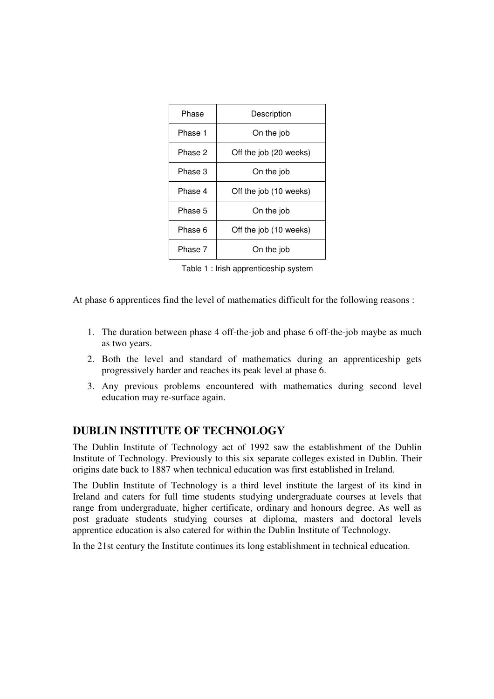| Phase   | Description            |  |
|---------|------------------------|--|
| Phase 1 | On the job             |  |
| Phase 2 | Off the job (20 weeks) |  |
| Phase 3 | On the job             |  |
| Phase 4 | Off the job (10 weeks) |  |
| Phase 5 | On the job             |  |
| Phase 6 | Off the job (10 weeks) |  |
| Phase 7 | On the job             |  |

Table 1 : Irish apprenticeship system

At phase 6 apprentices find the level of mathematics difficult for the following reasons :

- 1. The duration between phase 4 off-the-job and phase 6 off-the-job maybe as much as two years.
- 2. Both the level and standard of mathematics during an apprenticeship gets progressively harder and reaches its peak level at phase 6.
- 3. Any previous problems encountered with mathematics during second level education may re-surface again.

### **DUBLIN INSTITUTE OF TECHNOLOGY**

The Dublin Institute of Technology act of 1992 saw the establishment of the Dublin Institute of Technology. Previously to this six separate colleges existed in Dublin. Their origins date back to 1887 when technical education was first established in Ireland.

The Dublin Institute of Technology is a third level institute the largest of its kind in Ireland and caters for full time students studying undergraduate courses at levels that range from undergraduate, higher certificate, ordinary and honours degree. As well as post graduate students studying courses at diploma, masters and doctoral levels apprentice education is also catered for within the Dublin Institute of Technology.

In the 21st century the Institute continues its long establishment in technical education.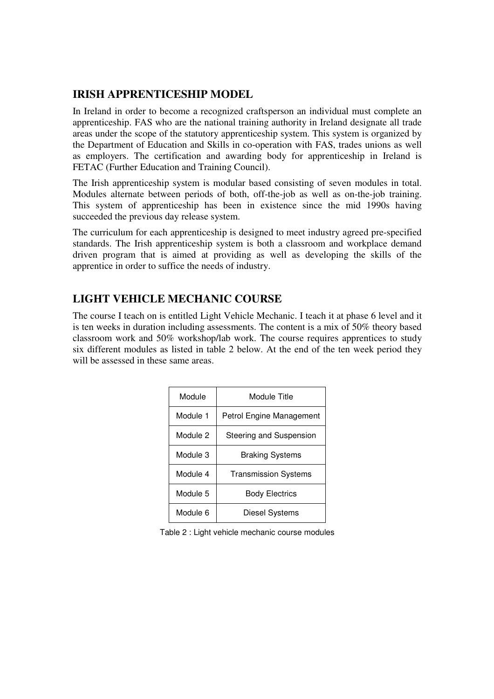# **IRISH APPRENTICESHIP MODEL**

In Ireland in order to become a recognized craftsperson an individual must complete an apprenticeship. FAS who are the national training authority in Ireland designate all trade areas under the scope of the statutory apprenticeship system. This system is organized by the Department of Education and Skills in co-operation with FAS, trades unions as well as employers. The certification and awarding body for apprenticeship in Ireland is FETAC (Further Education and Training Council).

The Irish apprenticeship system is modular based consisting of seven modules in total. Modules alternate between periods of both, off-the-job as well as on-the-job training. This system of apprenticeship has been in existence since the mid 1990s having succeeded the previous day release system.

The curriculum for each apprenticeship is designed to meet industry agreed pre-specified standards. The Irish apprenticeship system is both a classroom and workplace demand driven program that is aimed at providing as well as developing the skills of the apprentice in order to suffice the needs of industry.

# **LIGHT VEHICLE MECHANIC COURSE**

The course I teach on is entitled Light Vehicle Mechanic. I teach it at phase 6 level and it is ten weeks in duration including assessments. The content is a mix of 50% theory based classroom work and 50% workshop/lab work. The course requires apprentices to study six different modules as listed in table 2 below. At the end of the ten week period they will be assessed in these same areas.

| Module   | Module Title                |  |
|----------|-----------------------------|--|
| Module 1 | Petrol Engine Management    |  |
| Module 2 | Steering and Suspension     |  |
| Module 3 | <b>Braking Systems</b>      |  |
| Module 4 | <b>Transmission Systems</b> |  |
| Module 5 | <b>Body Electrics</b>       |  |
| Module 6 | Diesel Systems              |  |

Table 2 : Light vehicle mechanic course modules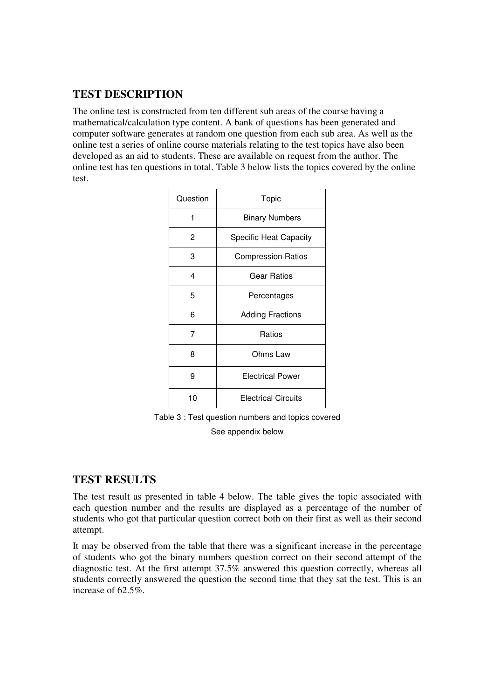# **TEST DESCRIPTION**

The online test is constructed from ten different sub areas of the course having a mathematical/calculation type content. A bank of questions has been generated and computer software generates at random one question from each sub area. As well as the online test a series of online course materials relating to the test topics have also been developed as an aid to students. These are available on request from the author. The online test has ten questions in total. Table 3 below lists the topics covered by the online test.

| Question | Topic                         |  |
|----------|-------------------------------|--|
| 1        | <b>Binary Numbers</b>         |  |
| 2        | <b>Specific Heat Capacity</b> |  |
| 3        | <b>Compression Ratios</b>     |  |
| 4        | <b>Gear Ratios</b>            |  |
| 5        | Percentages                   |  |
| 6        | <b>Adding Fractions</b>       |  |
| 7        | Ratios                        |  |
| 8        | Ohms Law                      |  |
| 9        | <b>Electrical Power</b>       |  |
| 10       | <b>Electrical Circuits</b>    |  |

Table 3 : Test question numbers and topics covered

See appendix below

# **TEST RESULTS**

The test result as presented in table 4 below. The table gives the topic associated with each question number and the results are displayed as a percentage of the number of students who got that particular question correct both on their first as well as their second attempt.

It may be observed from the table that there was a significant increase in the percentage of students who got the binary numbers question correct on their second attempt of the diagnostic test. At the first attempt 37.5% answered this question correctly, whereas all students correctly answered the question the second time that they sat the test. This is an increase of 62.5%.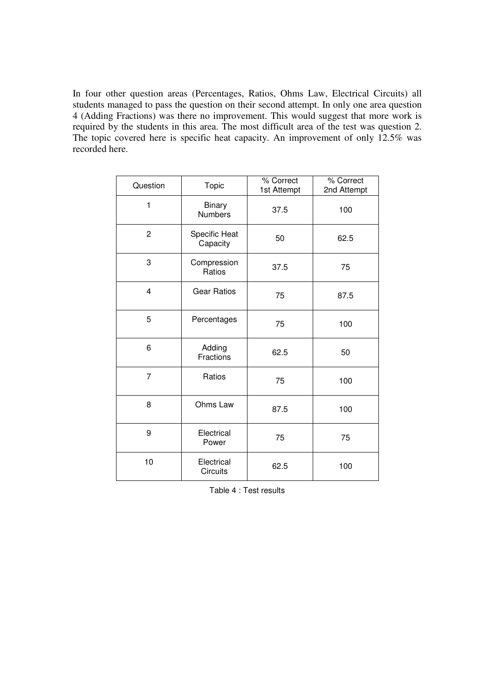In four other question areas (Percentages, Ratios, Ohms Law, Electrical Circuits) all students managed to pass the question on their second attempt. In only one area question 4 (Adding Fractions) was there no improvement. This would suggest that more work is required by the students in this area. The most difficult area of the test was question 2. The topic covered here is specific heat capacity. An improvement of only 12.5% was recorded here.

| Question       | Topic                           | % Correct<br>1st Attempt | % Correct<br>2nd Attempt |
|----------------|---------------------------------|--------------------------|--------------------------|
| 1              | <b>Binary</b><br><b>Numbers</b> | 37.5                     | 100                      |
| $\overline{c}$ | Specific Heat<br>Capacity       | 50                       | 62.5                     |
| 3              | Compression<br>Ratios           | 37.5                     | 75                       |
| $\overline{4}$ | Gear Ratios                     | 75                       | 87.5                     |
| 5              | Percentages                     | 75                       | 100                      |
| 6              | Adding<br>Fractions             | 62.5                     | 50                       |
| $\overline{7}$ | Ratios                          | 75                       | 100                      |
| 8              | Ohms Law                        | 87.5                     | 100                      |
| 9              | Electrical<br>Power             | 75                       | 75                       |
| 10             | Electrical<br><b>Circuits</b>   | 62.5                     | 100                      |

Table 4 : Test results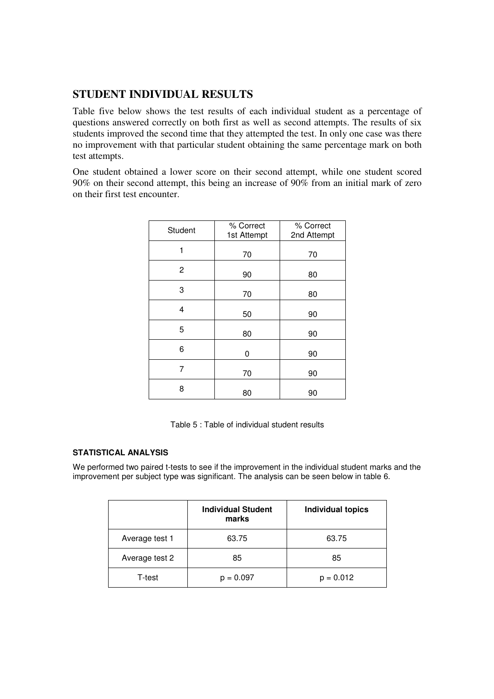# **STUDENT INDIVIDUAL RESULTS**

Table five below shows the test results of each individual student as a percentage of questions answered correctly on both first as well as second attempts. The results of six students improved the second time that they attempted the test. In only one case was there no improvement with that particular student obtaining the same percentage mark on both test attempts.

One student obtained a lower score on their second attempt, while one student scored 90% on their second attempt, this being an increase of 90% from an initial mark of zero on their first test encounter.

| Student | % Correct<br>1st Attempt | % Correct<br>2nd Attempt |
|---------|--------------------------|--------------------------|
| 1       | 70                       | 70                       |
| 2       | 90                       | 80                       |
| 3       | 70                       | 80                       |
| 4       | 50                       | 90                       |
| 5       | 80                       | 90                       |
| 6       | 0                        | 90                       |
| 7       | 70                       | 90                       |
| 8       | 80                       | 90                       |

Table 5 : Table of individual student results

#### **STATISTICAL ANALYSIS**

We performed two paired t-tests to see if the improvement in the individual student marks and the improvement per subject type was significant. The analysis can be seen below in table 6.

|                | <b>Individual Student</b><br>marks | <b>Individual topics</b> |
|----------------|------------------------------------|--------------------------|
| Average test 1 | 63.75                              | 63.75                    |
| Average test 2 | 85                                 | 85                       |
| T-test         | $p = 0.097$                        | $p = 0.012$              |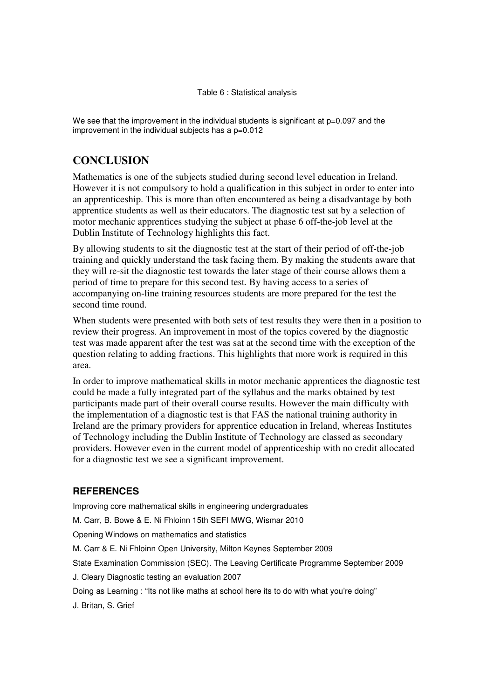#### Table 6 : Statistical analysis

We see that the improvement in the individual students is significant at  $p=0.097$  and the improvement in the individual subjects has a  $p=0.012$ 

# **CONCLUSION**

Mathematics is one of the subjects studied during second level education in Ireland. However it is not compulsory to hold a qualification in this subject in order to enter into an apprenticeship. This is more than often encountered as being a disadvantage by both apprentice students as well as their educators. The diagnostic test sat by a selection of motor mechanic apprentices studying the subject at phase 6 off-the-job level at the Dublin Institute of Technology highlights this fact.

By allowing students to sit the diagnostic test at the start of their period of off-the-job training and quickly understand the task facing them. By making the students aware that they will re-sit the diagnostic test towards the later stage of their course allows them a period of time to prepare for this second test. By having access to a series of accompanying on-line training resources students are more prepared for the test the second time round.

When students were presented with both sets of test results they were then in a position to review their progress. An improvement in most of the topics covered by the diagnostic test was made apparent after the test was sat at the second time with the exception of the question relating to adding fractions. This highlights that more work is required in this area.

In order to improve mathematical skills in motor mechanic apprentices the diagnostic test could be made a fully integrated part of the syllabus and the marks obtained by test participants made part of their overall course results. However the main difficulty with the implementation of a diagnostic test is that FAS the national training authority in Ireland are the primary providers for apprentice education in Ireland, whereas Institutes of Technology including the Dublin Institute of Technology are classed as secondary providers. However even in the current model of apprenticeship with no credit allocated for a diagnostic test we see a significant improvement.

### **REFERENCES**

Improving core mathematical skills in engineering undergraduates

M. Carr, B. Bowe & E. Ni Fhloinn 15th SEFI MWG, Wismar 2010

Opening Windows on mathematics and statistics

M. Carr & E. Ni Fhloinn Open University, Milton Keynes September 2009

State Examination Commission (SEC). The Leaving Certificate Programme September 2009

J. Cleary Diagnostic testing an evaluation 2007

Doing as Learning : "Its not like maths at school here its to do with what you're doing"

J. Britan, S. Grief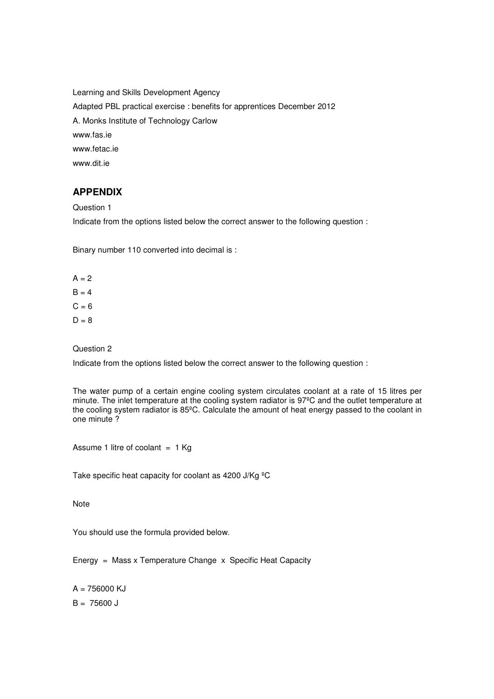Learning and Skills Development Agency Adapted PBL practical exercise : benefits for apprentices December 2012 A. Monks Institute of Technology Carlow www.fas.ie www.fetac.ie www.dit.ie

### **APPENDIX**

Question 1

Indicate from the options listed below the correct answer to the following question :

Binary number 110 converted into decimal is :

 $A = 2$  $B = 4$  $C = 6$  $D = 8$ 

Question 2

Indicate from the options listed below the correct answer to the following question :

The water pump of a certain engine cooling system circulates coolant at a rate of 15 litres per minute. The inlet temperature at the cooling system radiator is 97ºC and the outlet temperature at the cooling system radiator is 85ºC. Calculate the amount of heat energy passed to the coolant in one minute ?

Assume 1 litre of coolant  $= 1$  Kg

Take specific heat capacity for coolant as 4200 J/Kg <sup>o</sup>C

**Note** 

You should use the formula provided below.

Energy = Mass x Temperature Change x Specific Heat Capacity

 $A = 756000$  KJ  $B = 75600 J$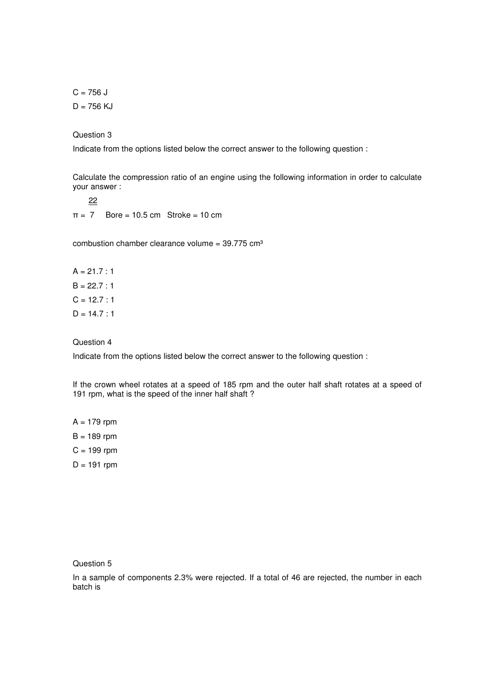$C = 756 J$  $D = 756$  KJ

Question 3

Indicate from the options listed below the correct answer to the following question :

Calculate the compression ratio of an engine using the following information in order to calculate your answer :

22  $\pi = 7$  Bore = 10.5 cm Stroke = 10 cm

combustion chamber clearance volume =  $39.775$  cm<sup>3</sup>

 $A = 21.7 : 1$  $B = 22.7 : 1$  $C = 12.7 : 1$  $D = 14.7 : 1$ 

#### Question 4

Indicate from the options listed below the correct answer to the following question :

If the crown wheel rotates at a speed of 185 rpm and the outer half shaft rotates at a speed of 191 rpm, what is the speed of the inner half shaft ?

 $A = 179$  rpm  $B = 189$  rpm  $C = 199$  rpm

 $D = 191$  rpm

Question 5

In a sample of components 2.3% were rejected. If a total of 46 are rejected, the number in each batch is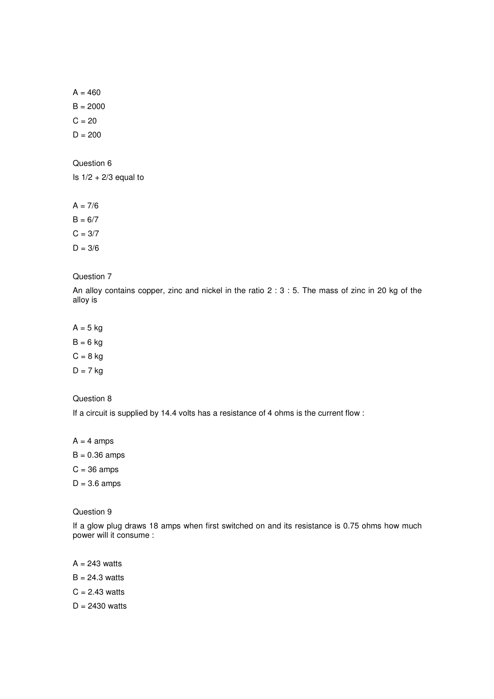$A = 460$  $B = 2000$  $C = 20$ 

 $D = 200$ 

Question 6

Is  $1/2 + 2/3$  equal to

 $A = 7/6$ 

 $B = 6/7$ 

 $C = 3/7$ 

 $D = 3/6$ 

#### Question 7

An alloy contains copper, zinc and nickel in the ratio 2 : 3 : 5. The mass of zinc in 20 kg of the alloy is

 $A = 5$  kg

 $B = 6$  kg

 $C = 8$  kg

 $D = 7$  kg

#### Question 8

If a circuit is supplied by 14.4 volts has a resistance of 4 ohms is the current flow :

 $A = 4$  amps

 $B = 0.36$  amps

 $C = 36$  amps

 $D = 3.6$  amps

Question 9

If a glow plug draws 18 amps when first switched on and its resistance is 0.75 ohms how much power will it consume :

 $A = 243$  watts

 $B = 24.3$  watts

 $C = 2.43$  watts

 $D = 2430$  watts